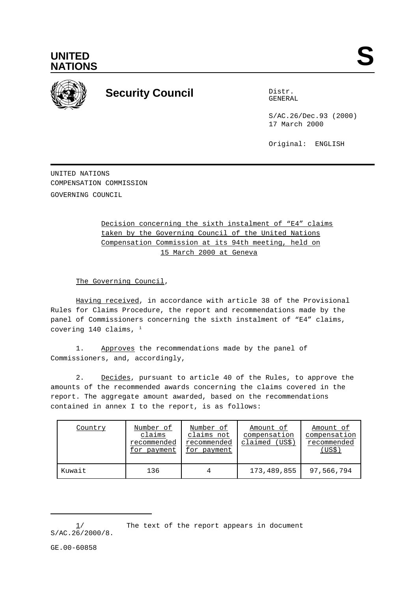



## **Security Council** Distribution Distribution

GENERAL

S/AC.26/Dec.93 (2000) 17 March 2000

Original: ENGLISH

UNITED NATIONS COMPENSATION COMMISSION GOVERNING COUNCIL

> Decision concerning the sixth instalment of "E4" claims taken by the Governing Council of the United Nations Compensation Commission at its 94th meeting, held on 15 March 2000 at Geneva

The Governing Council,

Having received, in accordance with article 38 of the Provisional Rules for Claims Procedure, the report and recommendations made by the panel of Commissioners concerning the sixth instalment of "E4" claims, covering 140 claims,  $1$ 

1. Approves the recommendations made by the panel of Commissioners, and, accordingly,

2. Decides, pursuant to article 40 of the Rules, to approve the amounts of the recommended awards concerning the claims covered in the report. The aggregate amount awarded, based on the recommendations contained in annex I to the report, is as follows:

| Country | Number of<br>claims<br>recommended<br>for payment | Number of<br>claims not<br>recommended<br>for payment | Amount of<br>compensation<br>claimed (US\$) | Amount of<br>compensation<br>recommended<br>(USS) |
|---------|---------------------------------------------------|-------------------------------------------------------|---------------------------------------------|---------------------------------------------------|
| Kuwait  | 136                                               |                                                       | 173,489,855                                 | 97,566,794                                        |

GE.00-60858

 $1/$  The text of the report appears in document  $S/AC.26/2000/8.$